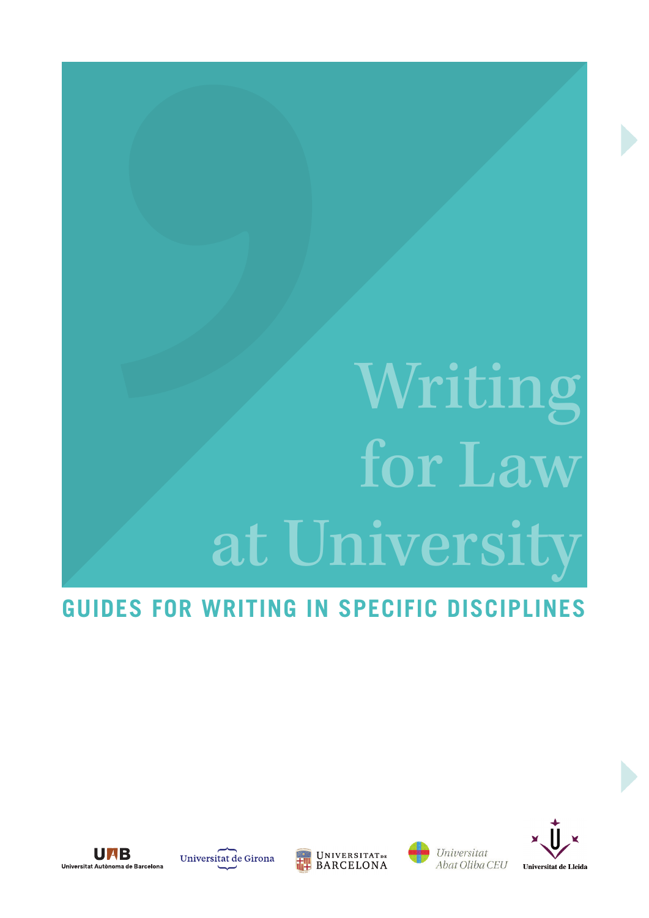# Writing for La at Universit

## **Guides for Writing in Specific Disciplines**



Universitat de Girona





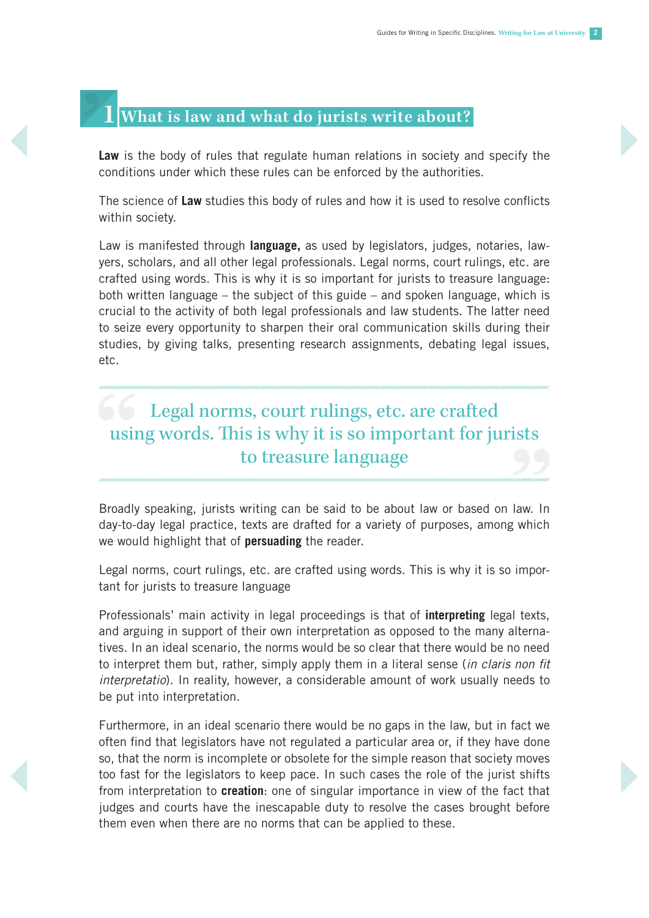### **1 What is law and what do jurists write about?**

Law is the body of rules that regulate human relations in society and specify the conditions under which these rules can be enforced by the authorities.

The science of **Law** studies this body of rules and how it is used to resolve conflicts within society.

Law is manifested through **language,** as used by legislators, judges, notaries, lawyers, scholars, and all other legal professionals. Legal norms, court rulings, etc. are crafted using words. This is why it is so important for jurists to treasure language: both written language – the subject of this guide – and spoken language, which is crucial to the activity of both legal professionals and law students. The latter need to seize every opportunity to sharpen their oral communication skills during their studies, by giving talks, presenting research assignments, debating legal issues, etc.

## **Legal norms, court rulings, etc. are crafted** using words. This is why it is so important for jurists to treasure language

Broadly speaking, jurists writing can be said to be about law or based on law. In day-to-day legal practice, texts are drafted for a variety of purposes, among which we would highlight that of **persuading** the reader.

Legal norms, court rulings, etc. are crafted using words. This is why it is so important for jurists to treasure language

Professionals' main activity in legal proceedings is that of **interpreting** legal texts, and arguing in support of their own interpretation as opposed to the many alternatives. In an ideal scenario, the norms would be so clear that there would be no need to interpret them but, rather, simply apply them in a literal sense (*in claris non fit interpretatio*). In reality, however, a considerable amount of work usually needs to be put into interpretation.

Furthermore, in an ideal scenario there would be no gaps in the law, but in fact we often find that legislators have not regulated a particular area or, if they have done so, that the norm is incomplete or obsolete for the simple reason that society moves too fast for the legislators to keep pace. In such cases the role of the jurist shifts from interpretation to **creation**: one of singular importance in view of the fact that judges and courts have the inescapable duty to resolve the cases brought before them even when there are no norms that can be applied to these.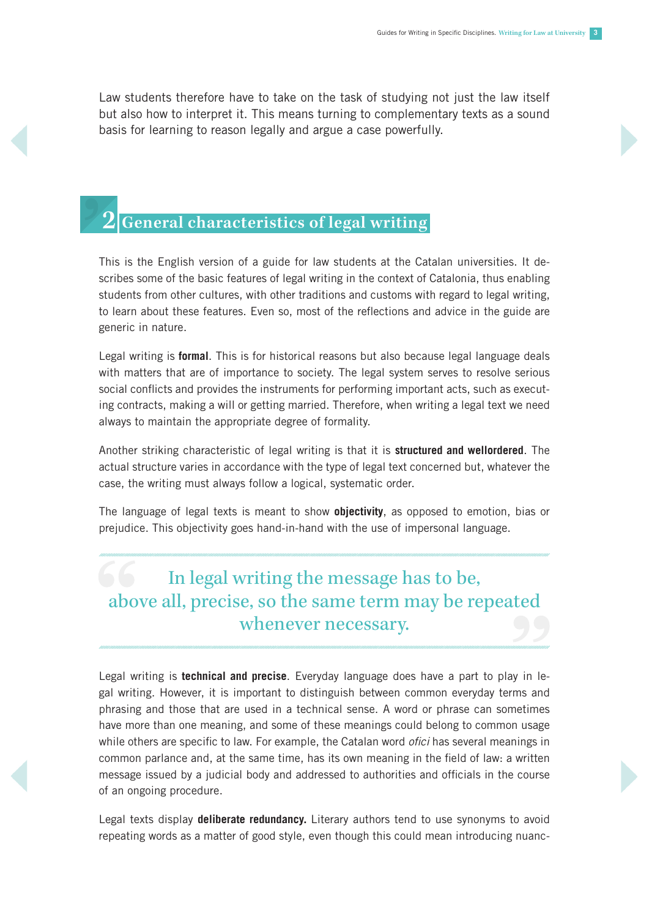Law students therefore have to take on the task of studying not just the law itself but also how to interpret it. This means turning to complementary texts as a sound basis for learning to reason legally and argue a case powerfully.

## **2 General characteristics of legal writing**

This is the English version of a guide for law students at the Catalan universities. It describes some of the basic features of legal writing in the context of Catalonia, thus enabling students from other cultures, with other traditions and customs with regard to legal writing, to learn about these features. Even so, most of the reflections and advice in the guide are generic in nature.

Legal writing is **formal**. This is for historical reasons but also because legal language deals with matters that are of importance to society. The legal system serves to resolve serious social conflicts and provides the instruments for performing important acts, such as executing contracts, making a will or getting married. Therefore, when writing a legal text we need always to maintain the appropriate degree of formality.

Another striking characteristic of legal writing is that it is **structured and wellordered**. The actual structure varies in accordance with the type of legal text concerned but, whatever the case, the writing must always follow a logical, systematic order.

The language of legal texts is meant to show **objectivity**, as opposed to emotion, bias or prejudice. This objectivity goes hand-in-hand with the use of impersonal language.

## In legal writing the message has to be, above all, precise, so the same term may be repeated whenever necessary.

Legal writing is **technical and precise**. Everyday language does have a part to play in legal writing. However, it is important to distinguish between common everyday terms and phrasing and those that are used in a technical sense. A word or phrase can sometimes have more than one meaning, and some of these meanings could belong to common usage while others are specific to law. For example, the Catalan word *ofici* has several meanings in common parlance and, at the same time, has its own meaning in the field of law: a written message issued by a judicial body and addressed to authorities and officials in the course of an ongoing procedure.

Legal texts display **deliberate redundancy.** Literary authors tend to use synonyms to avoid repeating words as a matter of good style, even though this could mean introducing nuanc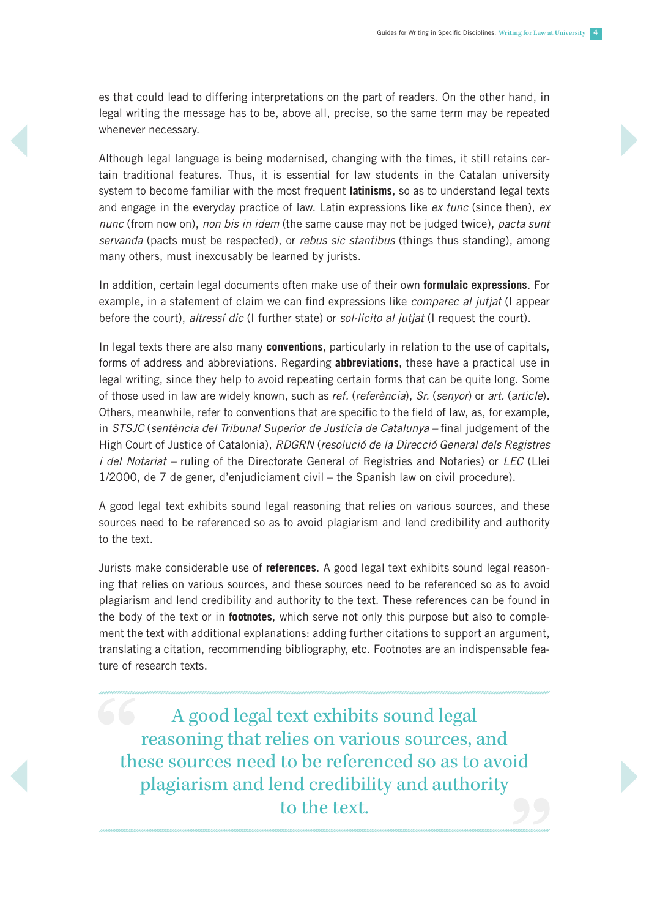es that could lead to differing interpretations on the part of readers. On the other hand, in legal writing the message has to be, above all, precise, so the same term may be repeated whenever necessary.

Although legal language is being modernised, changing with the times, it still retains certain traditional features. Thus, it is essential for law students in the Catalan university system to become familiar with the most frequent **latinisms**, so as to understand legal texts and engage in the everyday practice of law. Latin expressions like *ex tunc* (since then), *ex nunc* (from now on), *non bis in idem* (the same cause may not be judged twice), *pacta sunt servanda* (pacts must be respected), or *rebus sic stantibus* (things thus standing), among many others, must inexcusably be learned by jurists.

In addition, certain legal documents often make use of their own **formulaic expressions**. For example, in a statement of claim we can find expressions like *comparec al jutjat* (I appear before the court), *altressí dic* (I further state) or *sol·licito al jutjat* (I request the court).

In legal texts there are also many **conventions**, particularly in relation to the use of capitals, forms of address and abbreviations. Regarding **abbreviations**, these have a practical use in legal writing, since they help to avoid repeating certain forms that can be quite long. Some of those used in law are widely known, such as *ref.* (*referència*), *Sr.* (*senyor*) or *art.* (*article*). Others, meanwhile, refer to conventions that are specific to the field of law, as, for example, in *STSJC* (*sentència del Tribunal Superior de Justícia de Catalunya –* final judgement of the High Court of Justice of Catalonia), *RDGRN* (*resolució de la Direcció General dels Registres i del Notariat –* ruling of the Directorate General of Registries and Notaries) or *LEC* (Llei 1/2000, de 7 de gener, d'enjudiciament civil – the Spanish law on civil procedure).

A good legal text exhibits sound legal reasoning that relies on various sources, and these sources need to be referenced so as to avoid plagiarism and lend credibility and authority to the text.

Jurists make considerable use of **references**. A good legal text exhibits sound legal reasoning that relies on various sources, and these sources need to be referenced so as to avoid plagiarism and lend credibility and authority to the text. These references can be found in the body of the text or in **footnotes**, which serve not only this purpose but also to complement the text with additional explanations: adding further citations to support an argument, translating a citation, recommending bibliography, etc. Footnotes are an indispensable feature of research texts.

A good legal text exhibits sound legal reasoning that relies on various sources, and these sources need to be referenced so as to avoid plagiarism and lend credibility and authority to the text.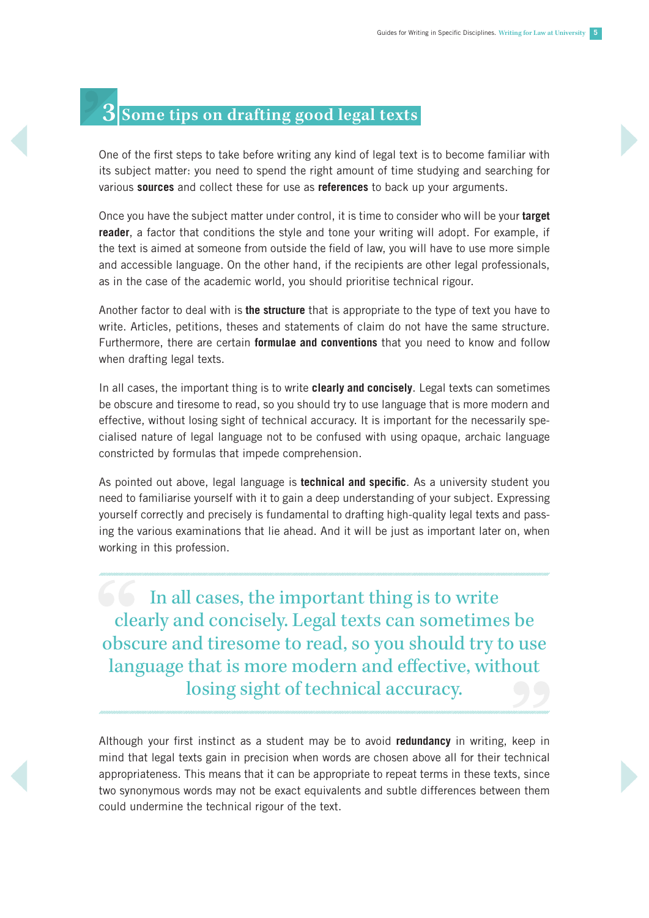## **3 Some tips on drafting good legal texts**

One of the first steps to take before writing any kind of legal text is to become familiar with its subject matter: you need to spend the right amount of time studying and searching for various **sources** and collect these for use as **references** to back up your arguments.

Once you have the subject matter under control, it is time to consider who will be your **target reader**, a factor that conditions the style and tone your writing will adopt. For example, if the text is aimed at someone from outside the field of law, you will have to use more simple and accessible language. On the other hand, if the recipients are other legal professionals, as in the case of the academic world, you should prioritise technical rigour.

Another factor to deal with is **the structure** that is appropriate to the type of text you have to write. Articles, petitions, theses and statements of claim do not have the same structure. Furthermore, there are certain **formulae and conventions** that you need to know and follow when drafting legal texts.

In all cases, the important thing is to write **clearly and concisely**. Legal texts can sometimes be obscure and tiresome to read, so you should try to use language that is more modern and effective, without losing sight of technical accuracy. It is important for the necessarily specialised nature of legal language not to be confused with using opaque, archaic language constricted by formulas that impede comprehension.

As pointed out above, legal language is **technical and specific**. As a university student you need to familiarise yourself with it to gain a deep understanding of your subject. Expressing yourself correctly and precisely is fundamental to drafting high-quality legal texts and passing the various examinations that lie ahead. And it will be just as important later on, when working in this profession.

In all cases, the important thing is to write clearly and concisely. Legal texts can sometimes be obscure and tiresome to read, so you should try to use language that is more modern and effective, without losing sight of technical accuracy.

Although your first instinct as a student may be to avoid **redundancy** in writing, keep in mind that legal texts gain in precision when words are chosen above all for their technical appropriateness. This means that it can be appropriate to repeat terms in these texts, since two synonymous words may not be exact equivalents and subtle differences between them could undermine the technical rigour of the text.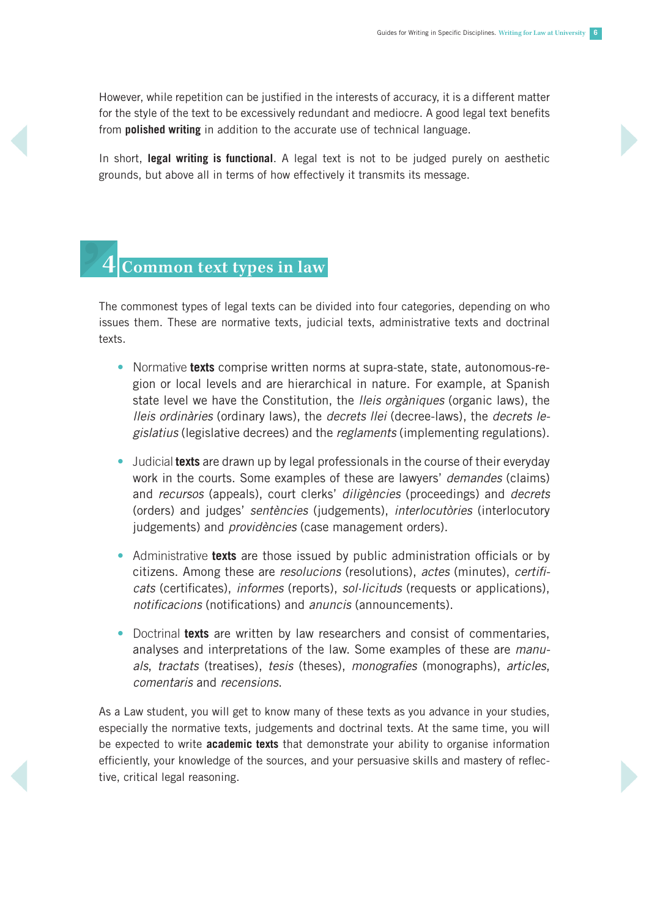However, while repetition can be justified in the interests of accuracy, it is a different matter for the style of the text to be excessively redundant and mediocre. A good legal text benefits from **polished writing** in addition to the accurate use of technical language.

In short, **legal writing is functional**. A legal text is not to be judged purely on aesthetic grounds, but above all in terms of how effectively it transmits its message.

### **4 Common text types in law**

The commonest types of legal texts can be divided into four categories, depending on who issues them. These are normative texts, judicial texts, administrative texts and doctrinal texts.

- **•** Normative **texts** comprise written norms at supra-state, state, autonomous-region or local levels and are hierarchical in nature. For example, at Spanish state level we have the Constitution, the *lleis orgàniques* (organic laws), the *lleis ordinàries* (ordinary laws), the *decrets llei* (decree-laws), the *decrets legislatius* (legislative decrees) and the *reglaments* (implementing regulations).
- **•** Judicial **texts** are drawn up by legal professionals in the course of their everyday work in the courts. Some examples of these are lawyers' *demandes* (claims) and *recursos* (appeals), court clerks' *diligències* (proceedings) and *decrets* (orders) and judges' *sentències* (judgements), *interlocutòries* (interlocutory judgements) and *providències* (case management orders).
- **•** Administrative **texts** are those issued by public administration officials or by citizens. Among these are *resolucions* (resolutions), *actes* (minutes), *certificats* (certificates), *informes* (reports), *sol·licituds* (requests or applications), *notificacions* (notifications) and *anuncis* (announcements).
- **•** Doctrinal **texts** are written by law researchers and consist of commentaries, analyses and interpretations of the law. Some examples of these are *manuals*, *tractats* (treatises), *tesis* (theses), *monografies* (monographs), *articles*, *comentaris* and *recensions*.

As a Law student, you will get to know many of these texts as you advance in your studies, especially the normative texts, judgements and doctrinal texts. At the same time, you will be expected to write **academic texts** that demonstrate your ability to organise information efficiently, your knowledge of the sources, and your persuasive skills and mastery of reflective, critical legal reasoning.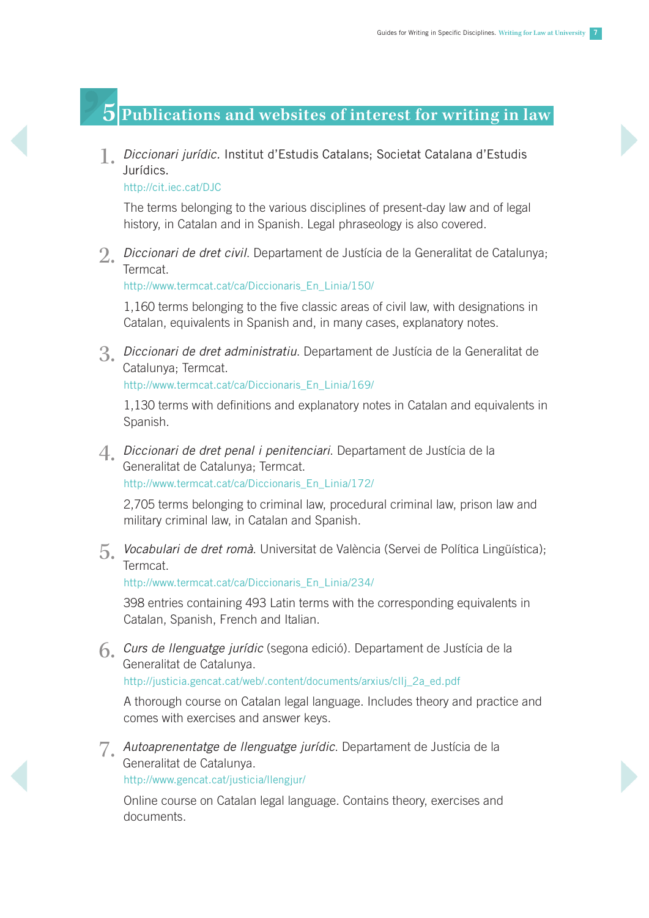### **5 Publications and websites of interest for writing in law**

1. *Diccionari jurídic.* Institut d'Estudis Catalans; Societat Catalana d'Estudis Jurídics.

<http://cit.iec.cat/DJC>

The terms belonging to the various disciplines of present-day law and of legal history, in Catalan and in Spanish. Legal phraseology is also covered.

2. *Diccionari de dret civil*. Departament de Justícia de la Generalitat de Catalunya; Termcat.

[http://www.termcat.cat/ca/Diccionaris\\_En\\_Linia/150](http://www.termcat.cat/ca/Diccionaris_En_Linia/150)/

1,160 terms belonging to the five classic areas of civil law, with designations in Catalan, equivalents in Spanish and, in many cases, explanatory notes.

3. *Diccionari de dret administratiu*. Departament de Justícia de la Generalitat de Catalunya; Termcat.

[http://www.termcat.cat/ca/Diccionaris\\_En\\_Linia/169](http://www.termcat.cat/ca/Diccionaris_En_Linia/169)/

1,130 terms with definitions and explanatory notes in Catalan and equivalents in Spanish.

4. *Diccionari de dret penal i penitenciari*. Departament de Justícia de la Generalitat de Catalunya; Termcat. [http://www.termcat.cat/ca/Diccionaris\\_En\\_Linia/172](http://www.termcat.cat/ca/Diccionaris_En_Linia/172)/

2,705 terms belonging to criminal law, procedural criminal law, prison law and military criminal law, in Catalan and Spanish.

5. *Vocabulari de dret romà*. Universitat de València (Servei de Política Lingüística); **Termcat** 

[http://www.termcat.cat/ca/Diccionaris\\_En\\_Linia/234](http://www.termcat.cat/ca/Diccionaris_En_Linia/234)/

398 entries containing 493 Latin terms with the corresponding equivalents in Catalan, Spanish, French and Italian.

6. *Curs de llenguatge jurídic* (segona edició). Departament de Justícia de la Generalitat de Catalunya.

[http://justicia.gencat.cat/web/.content/documents/arxius/cllj\\_2a\\_ed.pdf](http://justicia.gencat.cat/web/.content/documents/arxius/cllj_2a_ed.pdf)

A thorough course on Catalan legal language. Includes theory and practice and comes with exercises and answer keys.

7. *Autoaprenentatge de llenguatge jurídic*. Departament de Justícia de la Generalitat de Catalunya. [http://www.gencat.cat/justicia/llengjur/](http://www.gencat.cat/justicia/llengjur)

Online course on Catalan legal language. Contains theory, exercises and documents.